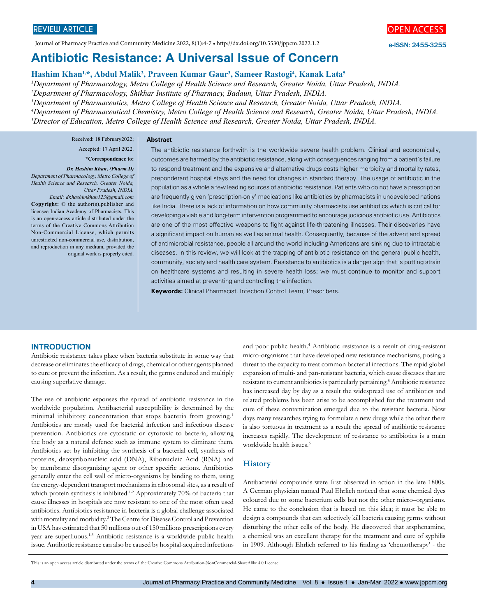Journal of Pharmacy Practice and Community Medicine.2022, 8(1):4-7 • http://dx.doi.org/10.5530/jppcm.2022.1.2

# **Antibiotic Resistance: A Universal Issue of Concern**

# **Hashim Khan1,\*, Abdul Malik2 , Praveen Kumar Gaur3 , Sameer Rastogi4 , Kanak Lata5**

 *Department of Pharmacology, Metro College of Health Science and Research, Greater Noida, Uttar Pradesh, INDIA. Department of Pharmacology, Shikhar Institute of Pharmacy, Badaun, Uttar Pradesh, INDIA. Department of Pharmaceutics, Metro College of Health Science and Research, Greater Noida, Uttar Pradesh, INDIA. Department of Pharmaceutical Chemistry, Metro College of Health Science and Research, Greater Noida, Uttar Pradesh, INDIA. Director of Education, Metro College of Health Science and Research, Greater Noida, Uttar Pradesh, INDIA.*

Received: 18 February2022; **Abstract**

# Accepted: 17 April 2022.

# **\*Correspondence to:**

*Dr. Hashim Khan, (Pharm.D) Department of Pharmacology, Metro College of Health Science and Research, Greater Noida, Uttar Pradesh, INDIA. Email: dr.hashimkhan123@gmail.com* **Copyright:** © the author(s),publisher and licensee Indian Academy of Pharmacists. This is an open-access article distributed under the terms of the Creative Commons Attribution Non-Commercial License, which permits unrestricted non-commercial use, distribution, and reproduction in any medium, provided the original work is properly cited.

The antibiotic resistance forthwith is the worldwide severe health problem. Clinical and economically, outcomes are harmed by the antibiotic resistance, along with consequences ranging from a patient's failure to respond treatment and the expensive and alternative drugs costs higher morbidity and mortality rates, preponderant hospital stays and the need for changes in standard therapy. The usage of antibiotic in the population as a whole a few leading sources of antibiotic resistance. Patients who do not have a prescription are frequently given 'prescription-only' medications like antibiotics by pharmacists in undeveloped nations like India. There is a lack of information on how community pharmacists use antibiotics which is critical for developing a viable and long-term intervention programmed to encourage judicious antibiotic use. Antibiotics are one of the most effective weapons to fight against life-threatening illnesses. Their discoveries have a significant impact on human as well as animal health. Consequently, because of the advent and spread of antimicrobial resistance, people all around the world including Americans are sinking due to intractable diseases. In this review, we will look at the trapping of antibiotic resistance on the general public health, community, society and health care system. Resistance to antibiotics is a danger sign that is putting strain on healthcare systems and resulting in severe health loss; we must continue to monitor and support activities aimed at preventing and controlling the infection.

**Keywords:** Clinical Pharmacist, Infection Control Team, Prescribers.

### **INTRODUCTION**

Antibiotic resistance takes place when bacteria substitute in some way that decrease or eliminates the efficacy of drugs, chemical or other agents planned to cure or prevent the infection. As a result, the germs endured and multiply causing superlative damage.

The use of antibiotic espouses the spread of antibiotic resistance in the worldwide population. Antibacterial susceptibility is determined by the minimal inhibitory concentration that stops bacteria from growing.<sup>1</sup> Antibiotics are mostly used for bacterial infection and infectious disease prevention. Antibiotics are cytostatic or cytotoxic to bacteria, allowing the body as a natural defence such as immune system to eliminate them. Antibiotics act by inhibiting the synthesis of a bacterial cell, synthesis of proteins, deoxyribonucleic acid (DNA), Ribonucleic Acid (RNA) and by membrane disorganizing agent or other specific actions. Antibiotics generally enter the cell wall of micro-organisms by binding to them, using the energy-dependent transport mechanisms in ribosomal sites, as a result of which protein synthesis is inhibited.<sup>1-2</sup> Approximately 70% of bacteria that cause illnesses in hospitals are now resistant to one of the most often used antibiotics. Antibiotics resistance in bacteria is a global challenge associated with mortality and morbidity.<sup>3</sup> The Centre for Disease Control and Prevention in USA has estimated that 50 millions out of 150 millions prescriptions every year are superfluous.1-3 Antibiotic resistance is a worldwide public health issue. Antibiotic resistance can also be caused by hospital-acquired infections

and poor public health.<sup>4</sup> Antibiotic resistance is a result of drug-resistant micro-organisms that have developed new resistance mechanisms, posing a threat to the capacity to treat common bacterial infections. The rapid global expansion of multi- and pan-resistant bacteria, which cause diseases that are resistant to current antibiotics is particularly pertaining.<sup>5</sup> Antibiotic resistance has increased day by day as a result the widespread use of antibiotics and related problems has been arise to be accomplished for the treatment and cure of these contamination emerged due to the resistant bacteria. Now days many researches trying to formulate a new drugs while the other there is also tortuous in treatment as a result the spread of antibiotic resistance increases rapidly. The development of resistance to antibiotics is a main worldwide health issues.<sup>6</sup>

e-ISSN: 2455-3255

#### **History**

Antibacterial compounds were first observed in action in the late 1800s. A German physician named Paul Ehrlich noticed that some chemical dyes coloured due to some bacterium cells but not the other micro–organisms. He came to the conclusion that is based on this idea; it must be able to design a compounds that can selectively kill bacteria causing germs without disturbing the other cells of the body. He discovered that arsphenamine, a chemical was an excellent therapy for the treatment and cure of syphilis in 1909. Although Ehrlich referred to his finding as 'chemotherapy' - the

This is an open access article distributed under the terms of the Creative Commons Attribution-NonCommercial-ShareAlike 4.0 License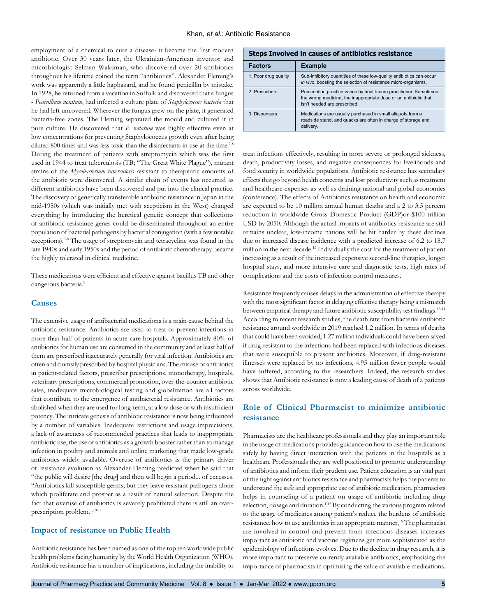employment of a chemical to cure a disease- it became the first modern antibiotic. Over 30 years later, the Ukrainian-American inventor and microbiologist Selman Waksman, who discovered over 20 antibiotics throughout his lifetime coined the term "antibiotics". Alexander Fleming's work was apparently a little haphazard, and he found penicillin by mistake. In 1928, he returned from a vacation in Suffolk and discovered that a fungus - *Penicillium notatum*, had infected a culture plate of *Staphylococcus bacteria* that he had left uncovered. Wherever the fungus grew on the plate, it generated bacteria-free zones. The Fleming separated the mould and cultured it in pure culture. He discovered that *P. notatum* was highly effective even at low concentrations for preventing Staphylococcus growth even after being diluted 800 times and was less toxic than the disinfectants in use at the time.<sup>7-8</sup> During the treatment of patients with streptomycin which was the first used in 1944 to treat tuberculosis (TB; "The Great White Plague"), mutant strains of the *Mycobacterium tuberculosis* resistant to therapeutic amounts of the antibiotic were discovered. A similar chain of events has occurred as different antibiotics have been discovered and put into the clinical practice. The discovery of genetically transferable antibiotic resistance in Japan in the mid-1950s (which was initially met with scepticism in the West) changed everything by introducing the heretical genetic concept that collections of antibiotic resistance genes could be disseminated throughout an entire population of bacterial pathogens by bacterial conjugation (with a few notable exceptions).<sup>7-8</sup> The usage of streptomycin and tetracycline was found in the late 1940s and early 1950s and the period of antibiotic chemotherapy became the highly tolerated in clinical medicine.

These medications were efficient and effective against bacillus TB and other dangerous bacteria.9

#### **Causes**

The extensive usage of antibacterial medications is a main cause behind the antibiotic resistance. Antibiotics are used to treat or prevent infections in more than half of patients in acute care hospitals. Approximately 80% of antibiotics for human use are consumed in the community and at least half of them are prescribed inaccurately generally for viral infection. Antibiotics are often and clumsily prescribed by hospital physicians. The misuse of antibiotics in patient-related factors, prescriber prescriptions, monotherapy, hospitals, veterinary prescriptions, commercial promotion, over-the-counter antibiotic sales, inadequate microbiological testing and globalization are all factors that contribute to the emergence of antibacterial resistance. Antibiotics are abolished when they are used for long-term, at a low dose or with insufficient potency. The intricate genesis of antibiotic resistance is now being influenced by a number of variables. Inadequate restrictions and usage imprecisions, a lack of awareness of recommended practices that leads to inappropriate antibiotic use, the use of antibiotics as a growth booster rather than to manage infection in poultry and animals and online marketing that made low-grade antibiotics widely available. Overuse of antibiotics is the primary driver of resistance evolution as Alexander Fleming predicted when he said that "the public will desire [the drug] and then will begin a period... of excesses. "Antibiotics kill susceptible germs, but they leave resistant pathogens alone which proliferate and prosper as a result of natural selection. Despite the fact that overuse of antibiotics is severely prohibited there is still an overprescription problem.1,10-11

## **Impact of resistance on Public Health**

Antibiotic resistance has been named as one of the top ten worldwide public health problems facing humanity by the World Health Organization (WHO). Antibiotic resistance has a number of implications, including the inability to

| <b>Steps Involved in causes of antibiotics resistance</b> |                                                                                                                                                                         |
|-----------------------------------------------------------|-------------------------------------------------------------------------------------------------------------------------------------------------------------------------|
| <b>Factors</b>                                            | <b>Example</b>                                                                                                                                                          |
| 1. Poor drug quality                                      | Sub-inhibitory quantities of these low-quality antibiotics can occur<br>in vivo, boosting the selection of resistance micro-organisms.                                  |
| 2. Prescribers                                            | Prescription practice varies by health-care practitioner. Sometimes<br>the wrong medicine, the inappropriate dose or an antibiotic that<br>isn't needed are prescribed. |
| 3. Dispensers                                             | Medications are usually purchased in small aliquots from a<br>roadside stand, and quacks are often in charge of storage and<br>delivery.                                |

treat infections effectively, resulting in more severe or prolonged sickness, death, productivity losses, and negative consequences for livelihoods and food security in worldwide populations. Antibiotic resistance has secondary effects that go beyond health concerns and lost productivity such as treatment and healthcare expenses as well as draining national and global economies (conference). The effects of Antibiotics resistance on health and economic are expected to be 10 million annual human deaths and a 2 to 3.5 percent reduction in worldwide Gross Domestic Product (GDP)or \$100 trillion USD by 2050. Although the actual impacts of antibiotics resistance are still remains unclear, low-income nations will be hit harder by these declines due to increased disease incidence with a predicted increase of 6.2 to 18.7 million in the next decade.12 Individually the cost for the treatment of patient increasing as a result of the increased expensive second-line therapies, longer hospital stays, and more intensive care and diagnostic tests, high rates of complications and the costs of infection control measures.

Resistance frequently causes delays in the administration of effective therapy with the most significant factor in delaying effective therapy being a mismatch between empirical therapy and future antibiotic susceptibility test findings.<sup>12-14</sup> According to recent research studies, the death rate from bacterial antibiotic resistance around worldwide in 2019 reached 1.2 million. In terms of deaths that could have been avoided, 1.27 million individuals could have been saved if drug-resistant to the infections had been replaced with infectious diseases that were susceptible to present antibiotics. Moreover, if drug-resistant illnesses were replaced by no infections, 4.95 million fewer people would have suffered, according to the researchers. Indeed, the research studies shows that Antibiotic resistance is now a leading cause of death of a patients across worldwide.

# **Role of Clinical Pharmacist to minimize antibiotic resistance**

Pharmacists are the healthcare professionals and they play an important role in the usage of medications provides guidance on how to use the medications safely by having direct interaction with the patients in the hospitals as a healthcare Professionals they are well positioned to promote understanding of antibiotics and inform their prudent use. Patient education is an vital part of the fight against antibiotics resistance and pharmacists helps the patients to understand the safe and appropriate use of antibiotic medication, pharmacists helps in counseling of a patient on usage of antibiotic including drug selection, dosage and duration.<sup>1,15</sup> By conducting the various program related to the usage of medicines among patient's reduce the burdens of antibiotic resistance, how to use antibiotics in an appropriate manner,<sup>16</sup> The pharmacist are involved in control and prevent from infectious diseases increases important as antibiotic and vaccine regimens get more sophisticated as the epidemiology of infections evolves. Due to the decline in drug research, it is more important to preserve currently available antibiotics, emphasising the importance of pharmacists in optimising the value of available medications.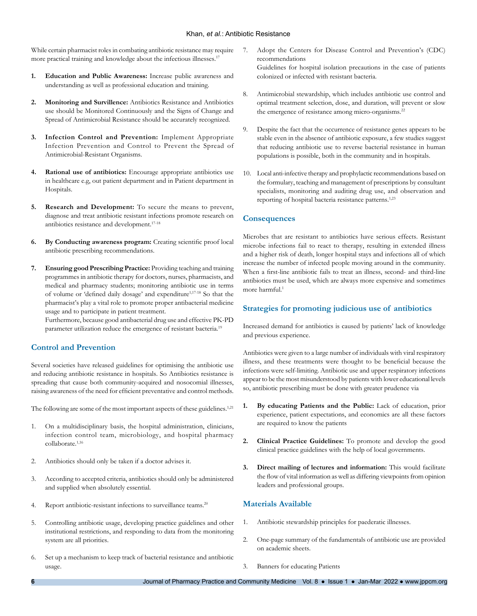#### Khan, *et al.*: Antibiotic Resistance

While certain pharmacist roles in combating antibiotic resistance may require more practical training and knowledge about the infectious illnesses.<sup>17</sup>

- **1. Education and Public Awareness:** Increase public awareness and understanding as well as professional education and training.
- **2. Monitoring and Survillence:** Antibiotics Resistance and Antibiotics use should be Monitored Continuously and the Signs of Change and Spread of Antimicrobial Resistance should be accurately recognized.
- **3. Infection Control and Prevention:** Implement Appropriate Infection Prevention and Control to Prevent the Spread of Antimicrobial-Resistant Organisms.
- **4. Rational use of antibiotics:** Encourage appropriate antibiotics use in healthcare e.g, out patient department and in Patient department in Hospitals.
- **5. Research and Development:** To secure the means to prevent, diagnose and treat antibiotic resistant infections promote research on antibiotics resistance and development.17-18
- **6. By Conducting awareness program:** Creating scientific proof local antibiotic prescribing recommendations.
- **7. Ensuring good Prescribing Practice:** Providing teaching and training programmes in antibiotic therapy for doctors, nurses, pharmacists, and medical and pharmacy students; monitoring antibiotic use in terms of volume or 'defined daily dosage' and expenditure<sup>1,17-18</sup> So that the pharmacist's play a vital role to promote proper antibacterial medicine usage and to participate in patient treatment.

Furthermore, because good antibacterial drug use and effective PK-PD parameter utilization reduce the emergence of resistant bacteria.<sup>19</sup>

## **Control and Prevention**

Several societies have released guidelines for optimising the antibiotic use and reducing antibiotic resistance in hospitals. So Antibiotics resistance is spreading that cause both community-acquired and nosocomial illnesses, raising awareness of the need for efficient preventative and control methods.

The following are some of the most important aspects of these guidelines.<sup>1,21</sup>

- 1. On a multidisciplinary basis, the hospital administration, clinicians, infection control team, microbiology, and hospital pharmacy collaborate.<sup>1,16</sup>
- 2. Antibiotics should only be taken if a doctor advises it.
- 3. According to accepted criteria, antibiotics should only be administered and supplied when absolutely essential.
- 4. Report antibiotic-resistant infections to surveillance teams.<sup>20</sup>
- 5. Controlling antibiotic usage, developing practice guidelines and other institutional restrictions, and responding to data from the monitoring system are all priorities.
- 6. Set up a mechanism to keep track of bacterial resistance and antibiotic usage.
- 7. Adopt the Centers for Disease Control and Prevention's (CDC) recommendations Guidelines for hospital isolation precautions in the case of patients colonized or infected with resistant bacteria.
- 8. Antimicrobial stewardship, which includes antibiotic use control and optimal treatment selection, dose, and duration, will prevent or slow the emergence of resistance among micro-organisms.<sup>22</sup>
- 9. Despite the fact that the occurrence of resistance genes appears to be stable even in the absence of antibiotic exposure, a few studies suggest that reducing antibiotic use to reverse bacterial resistance in human populations is possible, both in the community and in hospitals.
- 10. Local anti-infective therapy and prophylactic recommendations based on the formulary, teaching and management of prescriptions by consultant specialists, monitoring and auditing drug use, and observation and reporting of hospital bacteria resistance patterns.<sup>1,23</sup>

## **Consequences**

Microbes that are resistant to antibiotics have serious effects. Resistant microbe infections fail to react to therapy, resulting in extended illness and a higher risk of death, longer hospital stays and infections all of which increase the number of infected people moving around in the community. When a first-line antibiotic fails to treat an illness, second- and third-line antibiotics must be used, which are always more expensive and sometimes more harmful.<sup>1</sup>

## **Strategies for promoting judicious use of antibiotics**

Increased demand for antibiotics is caused by patients' lack of knowledge and previous experience.

Antibiotics were given to a large number of individuals with viral respiratory illness, and these treatments were thought to be beneficial because the infections were self-limiting. Antibiotic use and upper respiratory infections appear to be the most misunderstood by patients with lower educational levels so, antibiotic prescribing must be done with greater prudence via

- **1. By educating Patients and the Public:** Lack of education, prior experience, patient expectations, and economics are all these factors are required to know the patients
- **2. Clinical Practice Guidelines:** To promote and develop the good clinical practice guidelines with the help of local governments.
- **3. Direct mailing of lectures and information:** This would facilitate the flow of vital information as well as differing viewpoints from opinion leaders and professional groups.

## **Materials Available**

- 1. Antibiotic stewardship principles for paederatic illnesses.
- 2. One-page summary of the fundamentals of antibiotic use are provided on academic sheets.
- 3. Banners for educating Patients